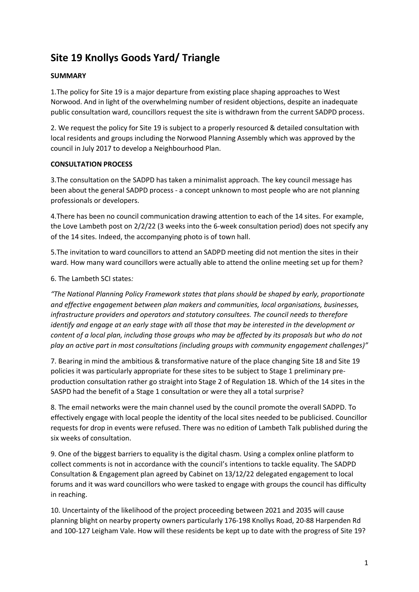# **Site 19 Knollys Goods Yard/ Triangle**

# **SUMMARY**

1.The policy for Site 19 is a major departure from existing place shaping approaches to West Norwood. And in light of the overwhelming number of resident objections, despite an inadequate public consultation ward, councillors request the site is withdrawn from the current SADPD process.

2. We request the policy for Site 19 is subject to a properly resourced & detailed consultation with local residents and groups including the Norwood Planning Assembly which was approved by the council in July 2017 to develop a Neighbourhood Plan.

## **CONSULTATION PROCESS**

3.The consultation on the SADPD has taken a minimalist approach. The key council message has been about the general SADPD process - a concept unknown to most people who are not planning professionals or developers.

4.There has been no council communication drawing attention to each of the 14 sites. For example, the Love Lambeth post on 2/2/22 (3 weeks into the 6-week consultation period) does not specify any of the 14 sites. Indeed, the accompanying photo is of town hall.

5.The invitation to ward councillors to attend an SADPD meeting did not mention the sites in their ward. How many ward councillors were actually able to attend the online meeting set up for them?

# 6. The Lambeth SCI states*:*

*"The National Planning Policy Framework states that plans should be shaped by early, proportionate and effective engagement between plan makers and communities, local organisations, businesses, infrastructure providers and operators and statutory consultees. The council needs to therefore identify and engage at an early stage with all those that may be interested in the development or content of a local plan, including those groups who may be affected by its proposals but who do not play an active part in most consultations (including groups with community engagement challenges)"*

7. Bearing in mind the ambitious & transformative nature of the place changing Site 18 and Site 19 policies it was particularly appropriate for these sites to be subject to Stage 1 preliminary preproduction consultation rather go straight into Stage 2 of Regulation 18. Which of the 14 sites in the SASPD had the benefit of a Stage 1 consultation or were they all a total surprise?

8. The email networks were the main channel used by the council promote the overall SADPD. To effectively engage with local people the identity of the local sites needed to be publicised. Councillor requests for drop in events were refused. There was no edition of Lambeth Talk published during the six weeks of consultation.

9. One of the biggest barriers to equality is the digital chasm. Using a complex online platform to collect comments is not in accordance with the council's intentions to tackle equality. The SADPD Consultation & Engagement plan agreed by Cabinet on 13/12/22 delegated engagement to local forums and it was ward councillors who were tasked to engage with groups the council has difficulty in reaching.

10. Uncertainty of the likelihood of the project proceeding between 2021 and 2035 will cause planning blight on nearby property owners particularly 176-198 Knollys Road, 20-88 Harpenden Rd and 100-127 Leigham Vale. How will these residents be kept up to date with the progress of Site 19?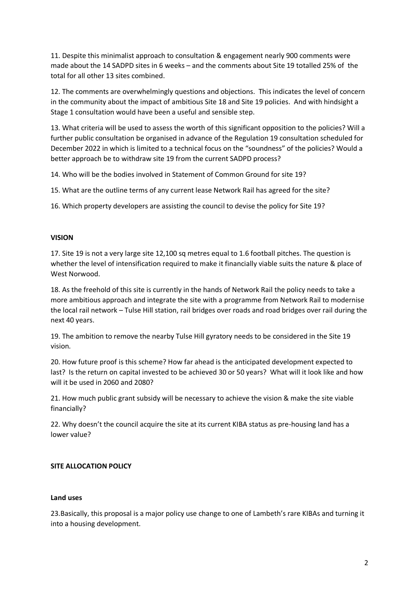11. Despite this minimalist approach to consultation & engagement nearly 900 comments were made about the 14 SADPD sites in 6 weeks – and the comments about Site 19 totalled 25% of the total for all other 13 sites combined.

12. The comments are overwhelmingly questions and objections. This indicates the level of concern in the community about the impact of ambitious Site 18 and Site 19 policies. And with hindsight a Stage 1 consultation would have been a useful and sensible step.

13. What criteria will be used to assess the worth of this significant opposition to the policies? Will a further public consultation be organised in advance of the Regulation 19 consultation scheduled for December 2022 in which is limited to a technical focus on the "soundness" of the policies? Would a better approach be to withdraw site 19 from the current SADPD process?

14. Who will be the bodies involved in Statement of Common Ground for site 19?

15. What are the outline terms of any current lease Network Rail has agreed for the site?

16. Which property developers are assisting the council to devise the policy for Site 19?

#### **VISION**

17. Site 19 is not a very large site 12,100 sq metres equal to 1.6 football pitches. The question is whether the level of intensification required to make it financially viable suits the nature & place of West Norwood.

18. As the freehold of this site is currently in the hands of Network Rail the policy needs to take a more ambitious approach and integrate the site with a programme from Network Rail to modernise the local rail network – Tulse Hill station, rail bridges over roads and road bridges over rail during the next 40 years.

19. The ambition to remove the nearby Tulse Hill gyratory needs to be considered in the Site 19 vision.

20. How future proof is this scheme? How far ahead is the anticipated development expected to last? Is the return on capital invested to be achieved 30 or 50 years? What will it look like and how will it be used in 2060 and 2080?

21. How much public grant subsidy will be necessary to achieve the vision & make the site viable financially?

22. Why doesn't the council acquire the site at its current KIBA status as pre-housing land has a lower value?

## **SITE ALLOCATION POLICY**

#### **Land uses**

23.Basically, this proposal is a major policy use change to one of Lambeth's rare KIBAs and turning it into a housing development.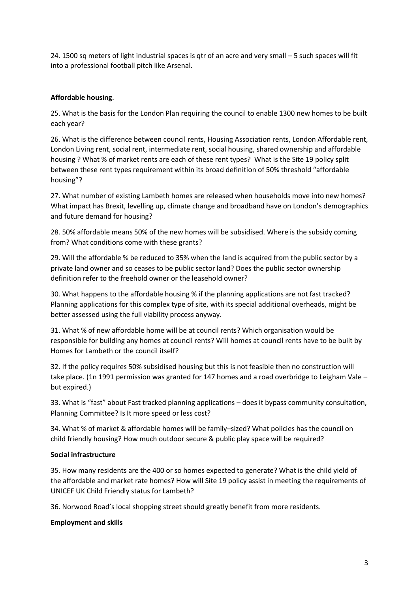24. 1500 sq meters of light industrial spaces is qtr of an acre and very small – 5 such spaces will fit into a professional football pitch like Arsenal.

# **Affordable housing**.

25. What is the basis for the London Plan requiring the council to enable 1300 new homes to be built each year?

26. What is the difference between council rents, Housing Association rents, London Affordable rent, London Living rent, social rent, intermediate rent, social housing, shared ownership and affordable housing ? What % of market rents are each of these rent types? What is the Site 19 policy split between these rent types requirement within its broad definition of 50% threshold "affordable housing"?

27. What number of existing Lambeth homes are released when households move into new homes? What impact has Brexit, levelling up, climate change and broadband have on London's demographics and future demand for housing?

28. 50% affordable means 50% of the new homes will be subsidised. Where is the subsidy coming from? What conditions come with these grants?

29. Will the affordable % be reduced to 35% when the land is acquired from the public sector by a private land owner and so ceases to be public sector land? Does the public sector ownership definition refer to the freehold owner or the leasehold owner?

30. What happens to the affordable housing % if the planning applications are not fast tracked? Planning applications for this complex type of site, with its special additional overheads, might be better assessed using the full viability process anyway.

31. What % of new affordable home will be at council rents? Which organisation would be responsible for building any homes at council rents? Will homes at council rents have to be built by Homes for Lambeth or the council itself?

32. If the policy requires 50% subsidised housing but this is not feasible then no construction will take place. (1n 1991 permission was granted for 147 homes and a road overbridge to Leigham Vale – but expired.)

33. What is "fast" about Fast tracked planning applications – does it bypass community consultation, Planning Committee? Is It more speed or less cost?

34. What % of market & affordable homes will be family–sized? What policies has the council on child friendly housing? How much outdoor secure & public play space will be required?

## **Social infrastructure**

35. How many residents are the 400 or so homes expected to generate? What is the child yield of the affordable and market rate homes? How will Site 19 policy assist in meeting the requirements of UNICEF UK Child Friendly status for Lambeth?

36. Norwood Road's local shopping street should greatly benefit from more residents.

## **Employment and skills**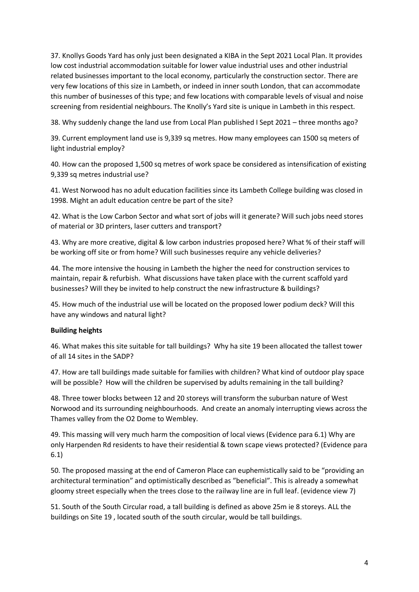37. Knollys Goods Yard has only just been designated a KIBA in the Sept 2021 Local Plan. It provides low cost industrial accommodation suitable for lower value industrial uses and other industrial related businesses important to the local economy, particularly the construction sector. There are very few locations of this size in Lambeth, or indeed in inner south London, that can accommodate this number of businesses of this type; and few locations with comparable levels of visual and noise screening from residential neighbours. The Knolly's Yard site is unique in Lambeth in this respect.

38. Why suddenly change the land use from Local Plan published I Sept 2021 – three months ago?

39. Current employment land use is 9,339 sq metres. How many employees can 1500 sq meters of light industrial employ?

40. How can the proposed 1,500 sq metres of work space be considered as intensification of existing 9,339 sq metres industrial use?

41. West Norwood has no adult education facilities since its Lambeth College building was closed in 1998. Might an adult education centre be part of the site?

42. What is the Low Carbon Sector and what sort of jobs will it generate? Will such jobs need stores of material or 3D printers, laser cutters and transport?

43. Why are more creative, digital & low carbon industries proposed here? What % of their staff will be working off site or from home? Will such businesses require any vehicle deliveries?

44. The more intensive the housing in Lambeth the higher the need for construction services to maintain, repair & refurbish. What discussions have taken place with the current scaffold yard businesses? Will they be invited to help construct the new infrastructure & buildings?

45. How much of the industrial use will be located on the proposed lower podium deck? Will this have any windows and natural light?

#### **Building heights**

46. What makes this site suitable for tall buildings? Why ha site 19 been allocated the tallest tower of all 14 sites in the SADP?

47. How are tall buildings made suitable for families with children? What kind of outdoor play space will be possible? How will the children be supervised by adults remaining in the tall building?

48. Three tower blocks between 12 and 20 storeys will transform the suburban nature of West Norwood and its surrounding neighbourhoods. And create an anomaly interrupting views across the Thames valley from the O2 Dome to Wembley.

49. This massing will very much harm the composition of local views (Evidence para 6.1) Why are only Harpenden Rd residents to have their residential & town scape views protected? (Evidence para 6.1)

50. The proposed massing at the end of Cameron Place can euphemistically said to be "providing an architectural termination" and optimistically described as "beneficial". This is already a somewhat gloomy street especially when the trees close to the railway line are in full leaf. (evidence view 7)

51. South of the South Circular road, a tall building is defined as above 25m ie 8 storeys. ALL the buildings on Site 19 , located south of the south circular, would be tall buildings.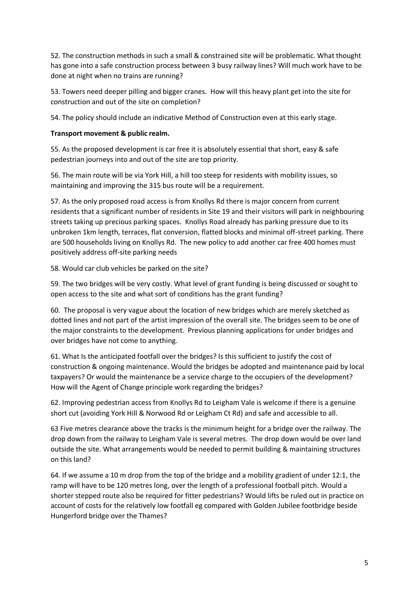52. The construction methods in such a small & constrained site will be problematic. What thought has gone into a safe construction process between 3 busy railway lines? Will much work have to be done at night when no trains are running?

53. Towers need deeper pilling and bigger cranes. How will this heavy plant get into the site for construction and out of the site on completion?

54. The policy should include an indicative Method of Construction even at this early stage.

# **Transport movement & public realm.**

55. As the proposed development is car free it is absolutely essential that short, easy & safe pedestrian journeys into and out of the site are top priority.

56. The main route will be via York Hill, a hill too steep for residents with mobility issues, so maintaining and improving the 315 bus route will be a requirement.

57. As the only proposed road access is from Knollys Rd there is major concern from current residents that a significant number of residents in Site 19 and their visitors will park in neighbouring streets taking up precious parking spaces. Knollys Road already has parking pressure due to its unbroken 1km length, terraces, flat conversion, flatted blocks and minimal off-street parking. There are 500 households living on Knollys Rd. The new policy to add another car free 400 homes must positively address off-site parking needs

58. Would car club vehicles be parked on the site?

59. The two bridges will be very costly. What level of grant funding is being discussed or sought to open access to the site and what sort of conditions has the grant funding?

60. The proposal is very vague about the location of new bridges which are merely sketched as dotted lines and not part of the artist impression of the overall site. The bridges seem to be one of the major constraints to the development. Previous planning applications for under bridges and over bridges have not come to anything.

61. What Is the anticipated footfall over the bridges? Is this sufficient to justify the cost of construction & ongoing maintenance. Would the bridges be adopted and maintenance paid by local taxpayers? Or would the maintenance be a service charge to the occupiers of the development? How will the Agent of Change principle work regarding the bridges?

62. Improving pedestrian access from Knollys Rd to Leigham Vale is welcome if there is a genuine short cut (avoiding York Hill & Norwood Rd or Leigham Ct Rd) and safe and accessible to all.

63 Five metres clearance above the tracks is the minimum height for a bridge over the railway. The drop down from the railway to Leigham Vale is several metres. The drop down would be over land outside the site. What arrangements would be needed to permit building & maintaining structures on this land?

64. If we assume a 10 m drop from the top of the bridge and a mobility gradient of under 12:1, the ramp will have to be 120 metres long, over the length of a professional football pitch. Would a shorter stepped route also be required for fitter pedestrians? Would lifts be ruled out in practice on account of costs for the relatively low footfall eg compared with Golden Jubilee footbridge beside Hungerford bridge over the Thames?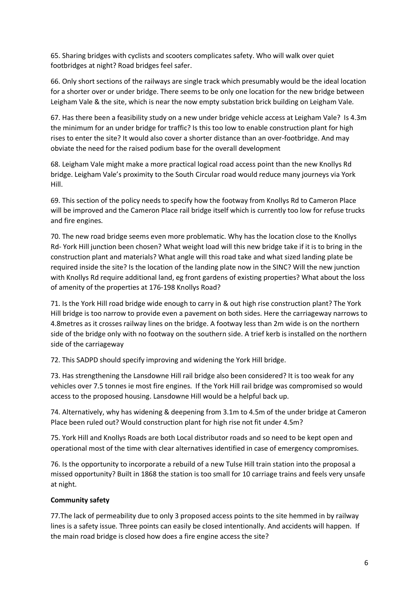65. Sharing bridges with cyclists and scooters complicates safety. Who will walk over quiet footbridges at night? Road bridges feel safer.

66. Only short sections of the railways are single track which presumably would be the ideal location for a shorter over or under bridge. There seems to be only one location for the new bridge between Leigham Vale & the site, which is near the now empty substation brick building on Leigham Vale.

67. Has there been a feasibility study on a new under bridge vehicle access at Leigham Vale? Is 4.3m the minimum for an under bridge for traffic? Is this too low to enable construction plant for high rises to enter the site? It would also cover a shorter distance than an over-footbridge. And may obviate the need for the raised podium base for the overall development

68. Leigham Vale might make a more practical logical road access point than the new Knollys Rd bridge. Leigham Vale's proximity to the South Circular road would reduce many journeys via York Hill.

69. This section of the policy needs to specify how the footway from Knollys Rd to Cameron Place will be improved and the Cameron Place rail bridge itself which is currently too low for refuse trucks and fire engines.

70. The new road bridge seems even more problematic. Why has the location close to the Knollys Rd- York Hill junction been chosen? What weight load will this new bridge take if it is to bring in the construction plant and materials? What angle will this road take and what sized landing plate be required inside the site? Is the location of the landing plate now in the SINC? Will the new junction with Knollys Rd require additional land, eg front gardens of existing properties? What about the loss of amenity of the properties at 176-198 Knollys Road?

71. Is the York Hill road bridge wide enough to carry in & out high rise construction plant? The York Hill bridge is too narrow to provide even a pavement on both sides. Here the carriageway narrows to 4.8metres as it crosses railway lines on the bridge. A footway less than 2m wide is on the northern side of the bridge only with no footway on the southern side. A trief kerb is installed on the northern side of the carriageway

72. This SADPD should specify improving and widening the York Hill bridge.

73. Has strengthening the Lansdowne Hill rail bridge also been considered? It is too weak for any vehicles over 7.5 tonnes ie most fire engines. If the York Hill rail bridge was compromised so would access to the proposed housing. Lansdowne Hill would be a helpful back up.

74. Alternatively, why has widening & deepening from 3.1m to 4.5m of the under bridge at Cameron Place been ruled out? Would construction plant for high rise not fit under 4.5m?

75. York Hill and Knollys Roads are both Local distributor roads and so need to be kept open and operational most of the time with clear alternatives identified in case of emergency compromises.

76. Is the opportunity to incorporate a rebuild of a new Tulse Hill train station into the proposal a missed opportunity? Built in 1868 the station is too small for 10 carriage trains and feels very unsafe at night.

## **Community safety**

77.The lack of permeability due to only 3 proposed access points to the site hemmed in by railway lines is a safety issue. Three points can easily be closed intentionally. And accidents will happen. If the main road bridge is closed how does a fire engine access the site?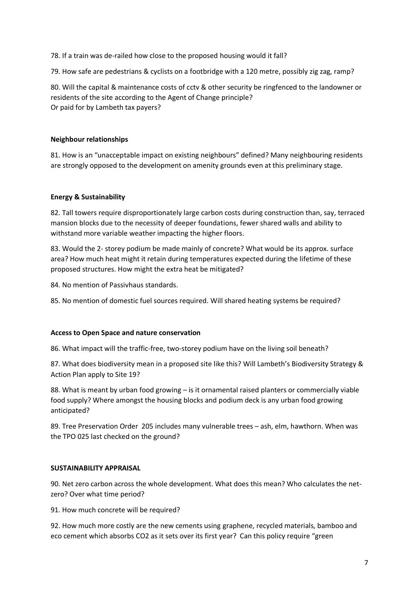78. If a train was de-railed how close to the proposed housing would it fall?

79. How safe are pedestrians & cyclists on a footbridge with a 120 metre, possibly zig zag, ramp?

80. Will the capital & maintenance costs of cctv & other security be ringfenced to the landowner or residents of the site according to the Agent of Change principle? Or paid for by Lambeth tax payers?

#### **Neighbour relationships**

81. How is an "unacceptable impact on existing neighbours" defined? Many neighbouring residents are strongly opposed to the development on amenity grounds even at this preliminary stage.

#### **Energy & Sustainability**

82. Tall towers require disproportionately large carbon costs during construction than, say, terraced mansion blocks due to the necessity of deeper foundations, fewer shared walls and ability to withstand more variable weather impacting the higher floors.

83. Would the 2- storey podium be made mainly of concrete? What would be its approx. surface area? How much heat might it retain during temperatures expected during the lifetime of these proposed structures. How might the extra heat be mitigated?

84. No mention of Passivhaus standards.

85. No mention of domestic fuel sources required. Will shared heating systems be required?

#### **Access to Open Space and nature conservation**

86. What impact will the traffic-free, two-storey podium have on the living soil beneath?

87. What does biodiversity mean in a proposed site like this? Will Lambeth's Biodiversity Strategy & Action Plan apply to Site 19?

88. What is meant by urban food growing – is it ornamental raised planters or commercially viable food supply? Where amongst the housing blocks and podium deck is any urban food growing anticipated?

89. Tree Preservation Order 205 includes many vulnerable trees – ash, elm, hawthorn. When was the TPO 025 last checked on the ground?

## **SUSTAINABILITY APPRAISAL**

90. Net zero carbon across the whole development. What does this mean? Who calculates the netzero? Over what time period?

91. How much concrete will be required?

92. How much more costly are the new cements using graphene, recycled materials, bamboo and eco cement which absorbs CO2 as it sets over its first year? Can this policy require "green